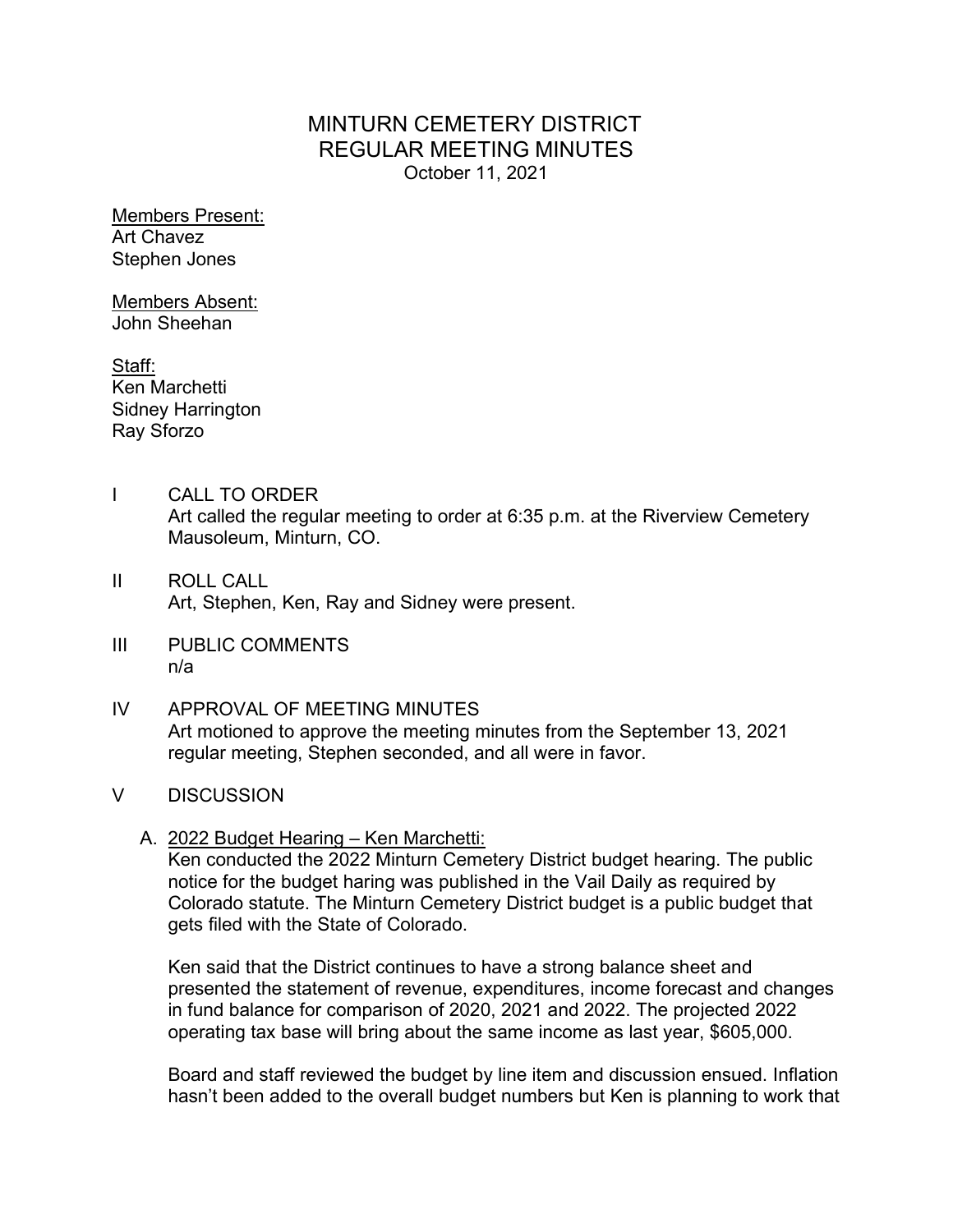# MINTURN CEMETERY DISTRICT REGULAR MEETING MINUTES October 11, 2021

Members Present: Art Chavez Stephen Jones

Members Absent: John Sheehan

Staff: Ken Marchetti Sidney Harrington Ray Sforzo

- I CALL TO ORDER Art called the regular meeting to order at 6:35 p.m. at the Riverview Cemetery Mausoleum, Minturn, CO.
- II ROLL CALL Art, Stephen, Ken, Ray and Sidney were present.
- III PUBLIC COMMENTS n/a
- IV APPROVAL OF MEETING MINUTES Art motioned to approve the meeting minutes from the September 13, 2021 regular meeting, Stephen seconded, and all were in favor.
- V DISCUSSION
	- A. 2022 Budget Hearing Ken Marchetti:

Ken conducted the 2022 Minturn Cemetery District budget hearing. The public notice for the budget haring was published in the Vail Daily as required by Colorado statute. The Minturn Cemetery District budget is a public budget that gets filed with the State of Colorado.

Ken said that the District continues to have a strong balance sheet and presented the statement of revenue, expenditures, income forecast and changes in fund balance for comparison of 2020, 2021 and 2022. The projected 2022 operating tax base will bring about the same income as last year, \$605,000.

Board and staff reviewed the budget by line item and discussion ensued. Inflation hasn't been added to the overall budget numbers but Ken is planning to work that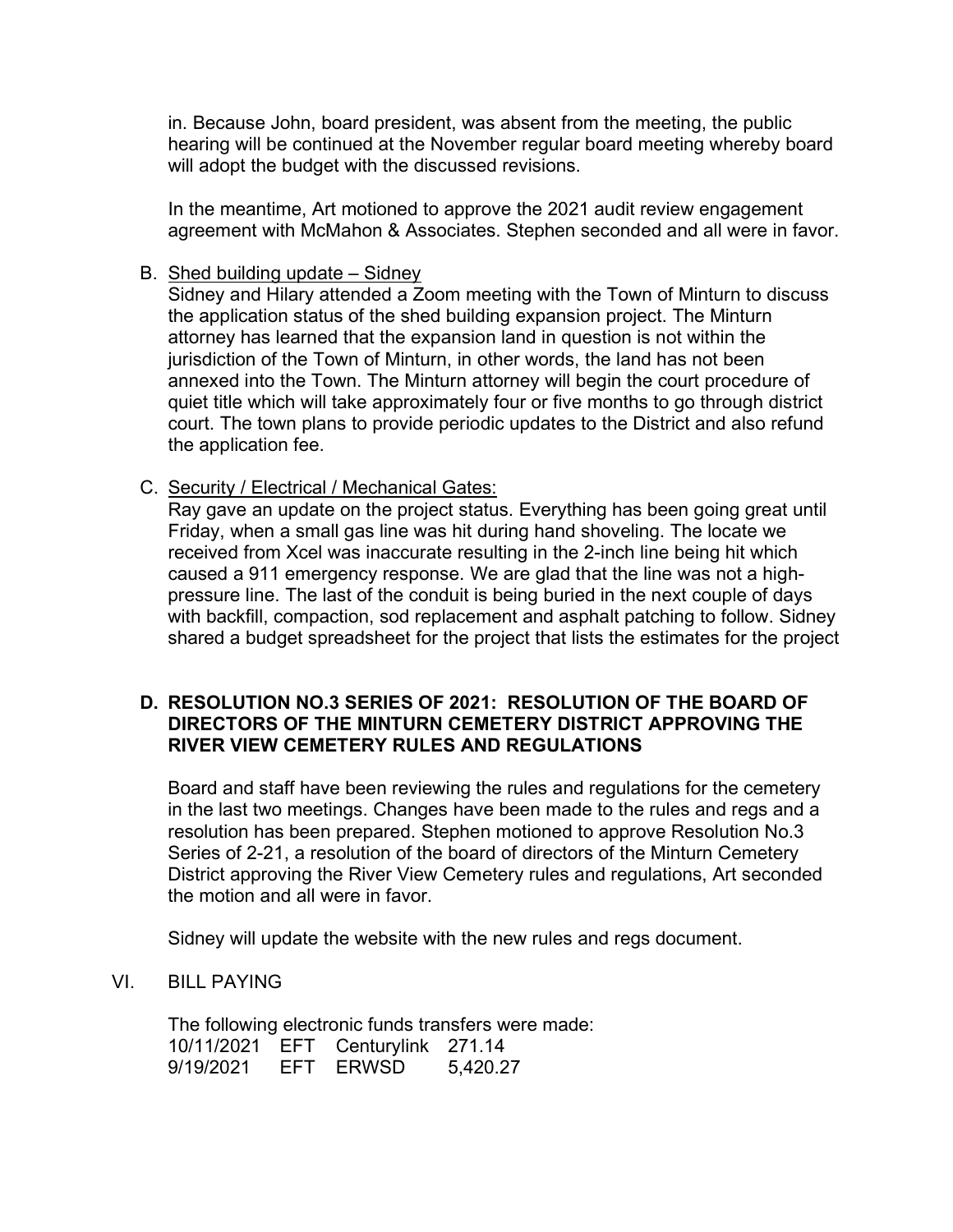in. Because John, board president, was absent from the meeting, the public hearing will be continued at the November regular board meeting whereby board will adopt the budget with the discussed revisions.

In the meantime, Art motioned to approve the 2021 audit review engagement agreement with McMahon & Associates. Stephen seconded and all were in favor.

### B. Shed building update – Sidney

Sidney and Hilary attended a Zoom meeting with the Town of Minturn to discuss the application status of the shed building expansion project. The Minturn attorney has learned that the expansion land in question is not within the jurisdiction of the Town of Minturn, in other words, the land has not been annexed into the Town. The Minturn attorney will begin the court procedure of quiet title which will take approximately four or five months to go through district court. The town plans to provide periodic updates to the District and also refund the application fee.

C. Security / Electrical / Mechanical Gates:

Ray gave an update on the project status. Everything has been going great until Friday, when a small gas line was hit during hand shoveling. The locate we received from Xcel was inaccurate resulting in the 2-inch line being hit which caused a 911 emergency response. We are glad that the line was not a highpressure line. The last of the conduit is being buried in the next couple of days with backfill, compaction, sod replacement and asphalt patching to follow. Sidney shared a budget spreadsheet for the project that lists the estimates for the project

## **D. RESOLUTION NO.3 SERIES OF 2021: RESOLUTION OF THE BOARD OF DIRECTORS OF THE MINTURN CEMETERY DISTRICT APPROVING THE RIVER VIEW CEMETERY RULES AND REGULATIONS**

Board and staff have been reviewing the rules and regulations for the cemetery in the last two meetings. Changes have been made to the rules and regs and a resolution has been prepared. Stephen motioned to approve Resolution No.3 Series of 2-21, a resolution of the board of directors of the Minturn Cemetery District approving the River View Cemetery rules and regulations, Art seconded the motion and all were in favor.

Sidney will update the website with the new rules and regs document.

#### VI. BILL PAYING

The following electronic funds transfers were made: 10/11/2021 EFT Centurylink 271.14 9/19/2021 EFT ERWSD 5,420.27